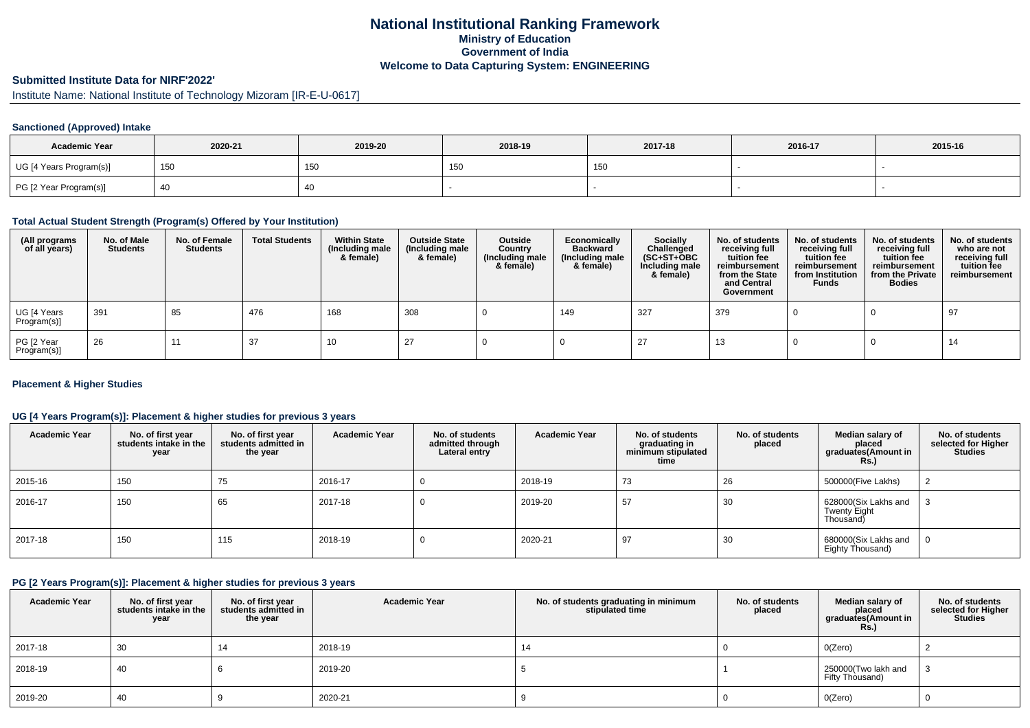# **National Institutional Ranking FrameworkMinistry of Education Government of IndiaWelcome to Data Capturing System: ENGINEERING**

# **Submitted Institute Data for NIRF'2022'**

Institute Name: National Institute of Technology Mizoram [IR-E-U-0617]

## **Sanctioned (Approved) Intake**

| <b>Academic Year</b>    | 2020-21 | 2019-20 | 2018-19 | 2017-18 | 2016-17 | 2015-16 |
|-------------------------|---------|---------|---------|---------|---------|---------|
| UG [4 Years Program(s)] | 150     | 150     | טט ו    | 150     |         |         |
| PG [2 Year Program(s)]  |         | 40      |         |         |         |         |

## **Total Actual Student Strength (Program(s) Offered by Your Institution)**

| (All programs<br>of all years) | No. of Male<br><b>Students</b> | No. of Female<br><b>Students</b> | <b>Total Students</b> | <b>Within State</b><br>(Including male<br>& female) | <b>Outside State</b><br>(Including male<br>& female) | Outside<br>Country<br>(Including male<br>& female) | Economically<br><b>Backward</b><br>(Including male<br>& female) | Socially<br>Challenged<br>$(SC+ST+OBC)$<br>Including male<br>& female) | No. of students<br>receiving full<br>tuition fee<br>reimbursement<br>from the State<br>and Central<br>Government | No. of students<br>receiving full<br>tuition fee<br>reimbursement<br>from Institution<br><b>Funds</b> | No. of students<br>receiving full<br>tuition fee<br>reimbursement<br>from the Private<br><b>Bodies</b> | No. of students<br>who are not<br>receiving full<br>tuition fee<br>reimbursement |
|--------------------------------|--------------------------------|----------------------------------|-----------------------|-----------------------------------------------------|------------------------------------------------------|----------------------------------------------------|-----------------------------------------------------------------|------------------------------------------------------------------------|------------------------------------------------------------------------------------------------------------------|-------------------------------------------------------------------------------------------------------|--------------------------------------------------------------------------------------------------------|----------------------------------------------------------------------------------|
| UG [4 Years<br>Program(s)]     | 391                            | 85                               | 476                   | 168                                                 | 308                                                  |                                                    | 149                                                             | 327                                                                    | 379                                                                                                              |                                                                                                       |                                                                                                        | 97                                                                               |
| PG [2 Year<br>Program(s)]      | 26                             | 11                               | -37                   | 10                                                  | 27                                                   |                                                    |                                                                 | 27                                                                     | - 10                                                                                                             |                                                                                                       |                                                                                                        | 14                                                                               |

#### **Placement & Higher Studies**

## **UG [4 Years Program(s)]: Placement & higher studies for previous 3 years**

| <b>Academic Year</b> | No. of first year<br>students intake in the<br>year | No. of first vear<br>students admitted in<br>the year | <b>Academic Year</b> | No. of students<br>admitted through<br>Lateral entry | <b>Academic Year</b> | No. of students<br>graduating in<br>minimum stipulated<br>time | No. of students<br>placed | Median salary of<br>placed<br>graduates(Amount in<br>Rs.) | No. of students<br>selected for Higher<br><b>Studies</b> |
|----------------------|-----------------------------------------------------|-------------------------------------------------------|----------------------|------------------------------------------------------|----------------------|----------------------------------------------------------------|---------------------------|-----------------------------------------------------------|----------------------------------------------------------|
| 2015-16              | 150                                                 | 75                                                    | 2016-17              |                                                      | 2018-19              | 73                                                             | 26                        | 500000(Five Lakhs)                                        |                                                          |
| $12016 - 17$         | 150                                                 | 65                                                    | 2017-18              |                                                      | 2019-20              | 57                                                             | 30                        | 628000(Six Lakhs and<br>Twenty Eight<br>Thousand)         |                                                          |
| 2017-18              | 150                                                 | 115                                                   | 2018-19              |                                                      | 2020-21              | 97                                                             | 30                        | 680000(Six Lakhs and<br>Eighty Thousand)                  | 0                                                        |

## **PG [2 Years Program(s)]: Placement & higher studies for previous 3 years**

| <b>Academic Year</b> | No. of first year<br>students intake in the<br>year | No. of first vear<br>students admitted in<br>the year | <b>Academic Year</b> | No. of students graduating in minimum<br>stipulated time | No. of students<br>placed | Median salary of<br>placed<br>graduates(Amount in<br>Rs. | No. of students<br>selected for Higher<br><b>Studies</b> |
|----------------------|-----------------------------------------------------|-------------------------------------------------------|----------------------|----------------------------------------------------------|---------------------------|----------------------------------------------------------|----------------------------------------------------------|
| 2017-18              | 30                                                  | 14                                                    | 2018-19              | 14                                                       |                           | O(Zero)                                                  |                                                          |
| 2018-19              | 40                                                  |                                                       | 2019-20              |                                                          |                           | 250000(Two lakh and<br>Fifty Thousand)                   |                                                          |
| 2019-20              | -40                                                 |                                                       | 2020-21              |                                                          |                           | O(Zero)                                                  | <b>U</b>                                                 |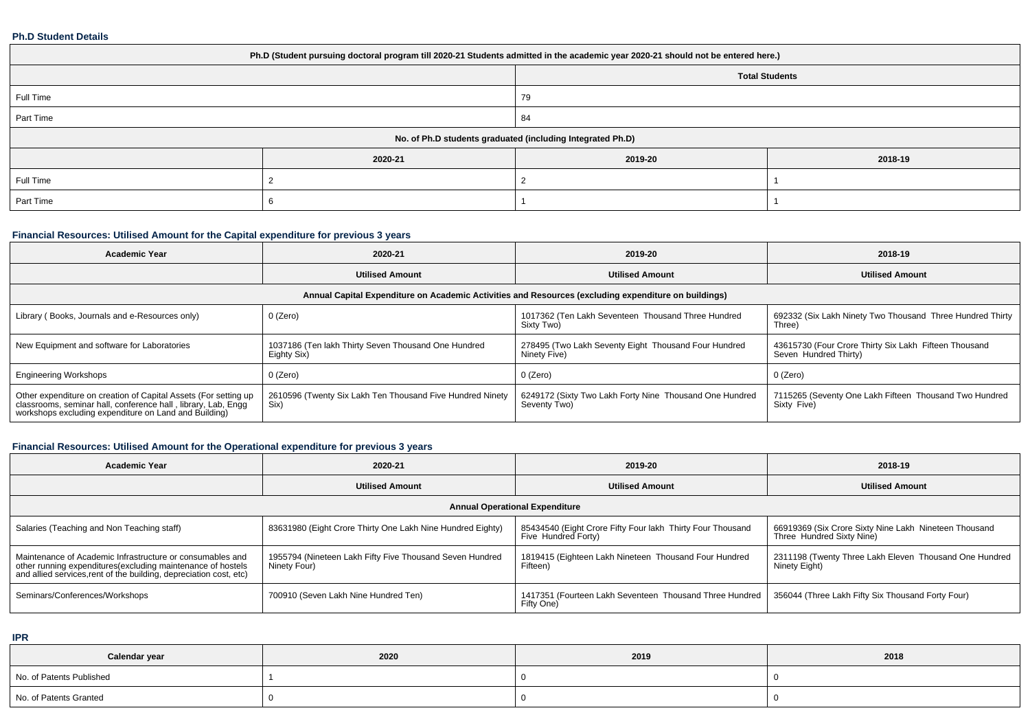#### **Ph.D Student Details**

| Ph.D (Student pursuing doctoral program till 2020-21 Students admitted in the academic year 2020-21 should not be entered here.) |         |                                                            |         |  |  |  |  |
|----------------------------------------------------------------------------------------------------------------------------------|---------|------------------------------------------------------------|---------|--|--|--|--|
| <b>Total Students</b>                                                                                                            |         |                                                            |         |  |  |  |  |
| Full Time<br>79                                                                                                                  |         |                                                            |         |  |  |  |  |
| Part Time                                                                                                                        |         | 84                                                         |         |  |  |  |  |
|                                                                                                                                  |         | No. of Ph.D students graduated (including Integrated Ph.D) |         |  |  |  |  |
|                                                                                                                                  | 2020-21 | 2019-20                                                    | 2018-19 |  |  |  |  |
| Full Time                                                                                                                        |         |                                                            |         |  |  |  |  |
| Part Time                                                                                                                        |         |                                                            |         |  |  |  |  |

# **Financial Resources: Utilised Amount for the Capital expenditure for previous 3 years**

| <b>Academic Year</b>                                                                                                                                                                      | 2020-21                                                                                              | 2019-20                                                                 | 2018-19                                                                        |  |  |  |  |  |  |
|-------------------------------------------------------------------------------------------------------------------------------------------------------------------------------------------|------------------------------------------------------------------------------------------------------|-------------------------------------------------------------------------|--------------------------------------------------------------------------------|--|--|--|--|--|--|
|                                                                                                                                                                                           | <b>Utilised Amount</b>                                                                               | <b>Utilised Amount</b>                                                  | <b>Utilised Amount</b>                                                         |  |  |  |  |  |  |
|                                                                                                                                                                                           | Annual Capital Expenditure on Academic Activities and Resources (excluding expenditure on buildings) |                                                                         |                                                                                |  |  |  |  |  |  |
| Library (Books, Journals and e-Resources only)                                                                                                                                            | 0 (Zero)                                                                                             | 1017362 (Ten Lakh Seventeen Thousand Three Hundred<br>Sixty Two)        | 692332 (Six Lakh Ninety Two Thousand Three Hundred Thirty<br>Three)            |  |  |  |  |  |  |
| New Equipment and software for Laboratories                                                                                                                                               | 1037186 (Ten lakh Thirty Seven Thousand One Hundred<br>Eighty Six)                                   | 278495 (Two Lakh Seventy Eight Thousand Four Hundred<br>Ninety Five)    | 43615730 (Four Crore Thirty Six Lakh Fifteen Thousand<br>Seven Hundred Thirty) |  |  |  |  |  |  |
| <b>Engineering Workshops</b>                                                                                                                                                              | 0 (Zero)                                                                                             | 0 (Zero)                                                                | $0$ (Zero)                                                                     |  |  |  |  |  |  |
| Other expenditure on creation of Capital Assets (For setting up<br>classrooms, seminar hall, conference hall, library, Lab, Engq<br>workshops excluding expenditure on Land and Building) | 2610596 (Twenty Six Lakh Ten Thousand Five Hundred Ninety<br>Six)                                    | 6249172 (Sixty Two Lakh Forty Nine Thousand One Hundred<br>Seventy Two) | 7115265 (Seventy One Lakh Fifteen Thousand Two Hundred<br>Sixty Five)          |  |  |  |  |  |  |

# **Financial Resources: Utilised Amount for the Operational expenditure for previous 3 years**

| <b>Academic Year</b>                                                                                                                                                                            | 2020-21                                                                  | 2019-20                                                                                        | 2018-19                                                                            |  |  |  |  |  |
|-------------------------------------------------------------------------------------------------------------------------------------------------------------------------------------------------|--------------------------------------------------------------------------|------------------------------------------------------------------------------------------------|------------------------------------------------------------------------------------|--|--|--|--|--|
|                                                                                                                                                                                                 | <b>Utilised Amount</b>                                                   | <b>Utilised Amount</b>                                                                         | <b>Utilised Amount</b>                                                             |  |  |  |  |  |
| <b>Annual Operational Expenditure</b>                                                                                                                                                           |                                                                          |                                                                                                |                                                                                    |  |  |  |  |  |
| Salaries (Teaching and Non Teaching staff)                                                                                                                                                      | 83631980 (Eight Crore Thirty One Lakh Nine Hundred Eighty)               | <sup>1</sup> 85434540 (Eight Crore Fifty Four lakh Thirty Four Thousand<br>Five Hundred Forty) | 66919369 (Six Crore Sixty Nine Lakh Nineteen Thousand<br>Three Hundred Sixty Nine) |  |  |  |  |  |
| Maintenance of Academic Infrastructure or consumables and<br>other running expenditures (excluding maintenance of hostels<br>and allied services, rent of the building, depreciation cost, etc) | 1955794 (Nineteen Lakh Fifty Five Thousand Seven Hundred<br>Ninety Four) | 1819415 (Eighteen Lakh Nineteen Thousand Four Hundred<br>Fifteen)                              | 2311198 (Twenty Three Lakh Eleven Thousand One Hundred  <br>Ninety Eight)          |  |  |  |  |  |
| Seminars/Conferences/Workshops                                                                                                                                                                  | 700910 (Seven Lakh Nine Hundred Ten)                                     | 1417351 (Fourteen Lakh Seventeen Thousand Three Hundred  <br>Fifty One)                        | 356044 (Three Lakh Fifty Six Thousand Forty Four)                                  |  |  |  |  |  |

**IPR**

| Calendar year            | 2020 | 2019 | 2018 |
|--------------------------|------|------|------|
| No. of Patents Published |      |      |      |
| No. of Patents Granted   |      |      |      |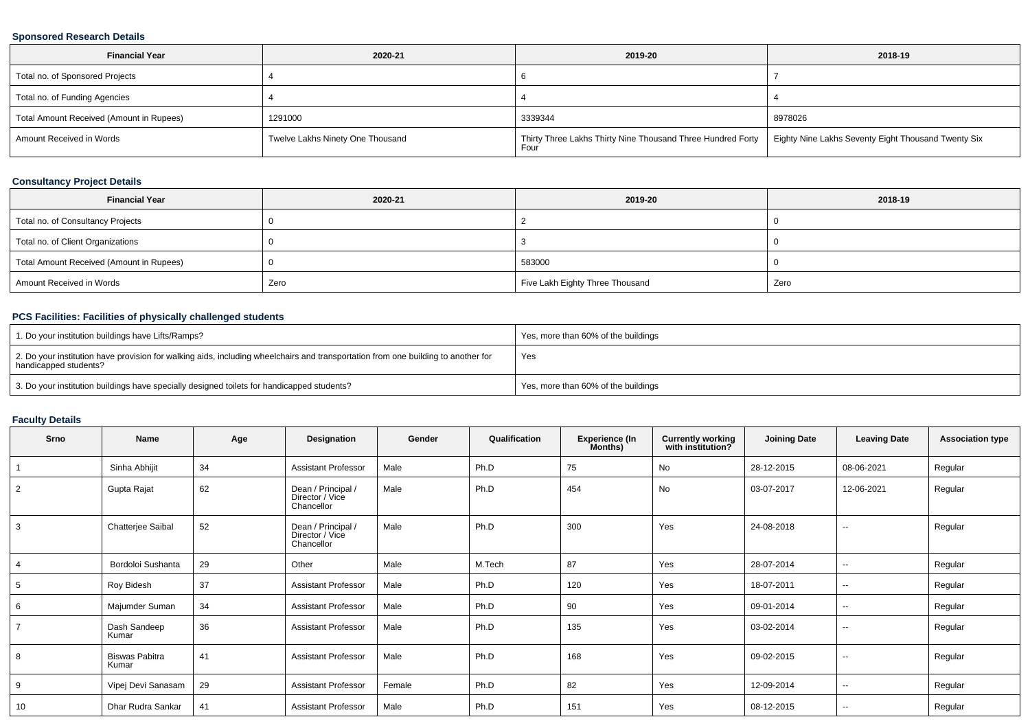## **Sponsored Research Details**

| <b>Financial Year</b>                    | 2020-21                          | 2019-20                                                                                                                   | 2018-19 |
|------------------------------------------|----------------------------------|---------------------------------------------------------------------------------------------------------------------------|---------|
| Total no. of Sponsored Projects          |                                  |                                                                                                                           |         |
| Total no. of Funding Agencies            |                                  |                                                                                                                           |         |
| Total Amount Received (Amount in Rupees) | 1291000                          | 3339344                                                                                                                   | 8978026 |
| Amount Received in Words                 | Twelve Lakhs Ninety One Thousand | Thirty Three Lakhs Thirty Nine Thousand Three Hundred Forty   Eighty Nine Lakhs Seventy Eight Thousand Twenty Six<br>Four |         |

# **Consultancy Project Details**

| <b>Financial Year</b>                    | 2020-21 | 2019-20                         | 2018-19 |
|------------------------------------------|---------|---------------------------------|---------|
| Total no. of Consultancy Projects        |         |                                 |         |
| Total no. of Client Organizations        |         |                                 |         |
| Total Amount Received (Amount in Rupees) |         | 583000                          |         |
| Amount Received in Words                 | Zero    | Five Lakh Eighty Three Thousand | Zero    |

# **PCS Facilities: Facilities of physically challenged students**

| 1. Do your institution buildings have Lifts/Ramps?                                                                                                         | Yes, more than 60% of the buildings |
|------------------------------------------------------------------------------------------------------------------------------------------------------------|-------------------------------------|
| 2. Do your institution have provision for walking aids, including wheelchairs and transportation from one building to another for<br>handicapped students? | Yes                                 |
| 3. Do your institution buildings have specially designed toilets for handicapped students?                                                                 | Yes, more than 60% of the buildings |

### **Faculty Details**

| Srno           | <b>Name</b>                    | Age | Designation                                         | Gender | Qualification | <b>Experience (In</b><br>Months) | <b>Currently working</b><br>with institution? | <b>Joining Date</b> | <b>Leaving Date</b>      | <b>Association type</b> |
|----------------|--------------------------------|-----|-----------------------------------------------------|--------|---------------|----------------------------------|-----------------------------------------------|---------------------|--------------------------|-------------------------|
|                | Sinha Abhijit                  | 34  | <b>Assistant Professor</b>                          | Male   | Ph.D          | 75                               | No                                            | 28-12-2015          | 08-06-2021               | Regular                 |
| 2              | Gupta Rajat                    | 62  | Dean / Principal /<br>Director / Vice<br>Chancellor | Male   | Ph.D          | 454                              | <b>No</b>                                     | 03-07-2017          | 12-06-2021               | Regular                 |
| 3              | Chatterjee Saibal              | 52  | Dean / Principal /<br>Director / Vice<br>Chancellor | Male   | Ph.D          | 300                              | Yes                                           | 24-08-2018          | $\overline{\phantom{a}}$ | Regular                 |
| 4              | Bordoloi Sushanta              | 29  | Other                                               | Male   | M.Tech        | 87                               | Yes                                           | 28-07-2014          | $\overline{\phantom{a}}$ | Regular                 |
| 5              | Roy Bidesh                     | 37  | <b>Assistant Professor</b>                          | Male   | Ph.D          | 120                              | Yes                                           | 18-07-2011          | $\sim$                   | Regular                 |
| 6              | Majumder Suman                 | 34  | <b>Assistant Professor</b>                          | Male   | Ph.D          | 90                               | Yes                                           | 09-01-2014          | $\sim$                   | Regular                 |
| $\overline{7}$ | Dash Sandeep<br>Kumar          | 36  | <b>Assistant Professor</b>                          | Male   | Ph.D          | 135                              | Yes                                           | 03-02-2014          | $\overline{\phantom{a}}$ | Regular                 |
| 8              | <b>Biswas Pabitra</b><br>Kumar | 41  | <b>Assistant Professor</b>                          | Male   | Ph.D          | 168                              | Yes                                           | 09-02-2015          | $\sim$                   | Regular                 |
| 9              | Vipej Devi Sanasam             | 29  | <b>Assistant Professor</b>                          | Female | Ph.D          | 82                               | Yes                                           | 12-09-2014          | $\sim$                   | Regular                 |
| 10             | Dhar Rudra Sankar              | 41  | <b>Assistant Professor</b>                          | Male   | Ph.D          | 151                              | Yes                                           | 08-12-2015          | $\overline{\phantom{a}}$ | Regular                 |